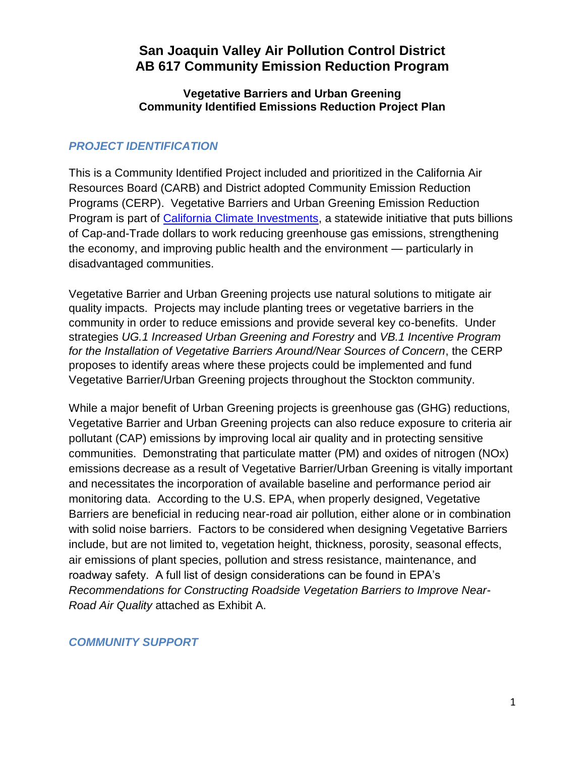# **San Joaquin Valley Air Pollution Control District AB 617 Community Emission Reduction Program**

#### **Vegetative Barriers and Urban Greening Community Identified Emissions Reduction Project Plan**

### *PROJECT IDENTIFICATION*

This is a Community Identified Project included and prioritized in the California Air Resources Board (CARB) and District adopted Community Emission Reduction Programs (CERP). Vegetative Barriers and Urban Greening Emission Reduction Program is part of [California Climate Investments,](https://gcc02.safelinks.protection.outlook.com/?url=http%3A%2F%2Fwww.caclimateinvestments.ca.gov%2F&data=04%7C01%7Chope.cupples%40arb.ca.gov%7Cadcc79b5692840a7223708d921fe95a6%7C9de5aaee778840b1a438c0ccc98c87cc%7C0%7C0%7C637578199587227297%7CUnknown%7CTWFpbGZsb3d8eyJWIjoiMC4wLjAwMDAiLCJQIjoiV2luMzIiLCJBTiI6Ik1haWwiLCJXVCI6Mn0%3D%7C1000&sdata=GMvcUx8F3jqpBz1mdPM5X%2FNgE8Ho8l4PziY%2BNImyxzc%3D&reserved=0) a statewide initiative that puts billions of Cap-and-Trade dollars to work reducing greenhouse gas emissions, strengthening the economy, and improving public health and the environment — particularly in disadvantaged communities.

Vegetative Barrier and Urban Greening projects use natural solutions to mitigate air quality impacts. Projects may include planting trees or vegetative barriers in the community in order to reduce emissions and provide several key co-benefits. Under strategies *UG.1 Increased Urban Greening and Forestry* and *VB.1 Incentive Program for the Installation of Vegetative Barriers Around/Near Sources of Concern*, the CERP proposes to identify areas where these projects could be implemented and fund Vegetative Barrier/Urban Greening projects throughout the Stockton community.

While a major benefit of Urban Greening projects is greenhouse gas (GHG) reductions, Vegetative Barrier and Urban Greening projects can also reduce exposure to criteria air pollutant (CAP) emissions by improving local air quality and in protecting sensitive communities. Demonstrating that particulate matter (PM) and oxides of nitrogen (NOx) emissions decrease as a result of Vegetative Barrier/Urban Greening is vitally important and necessitates the incorporation of available baseline and performance period air monitoring data. According to the U.S. EPA, when properly designed, Vegetative Barriers are beneficial in reducing near-road air pollution, either alone or in combination with solid noise barriers. Factors to be considered when designing Vegetative Barriers include, but are not limited to, vegetation height, thickness, porosity, seasonal effects, air emissions of plant species, pollution and stress resistance, maintenance, and roadway safety. A full list of design considerations can be found in EPA's *Recommendations for Constructing Roadside Vegetation Barriers to Improve Near-Road Air Quality* attached as Exhibit A.

#### *COMMUNITY SUPPORT*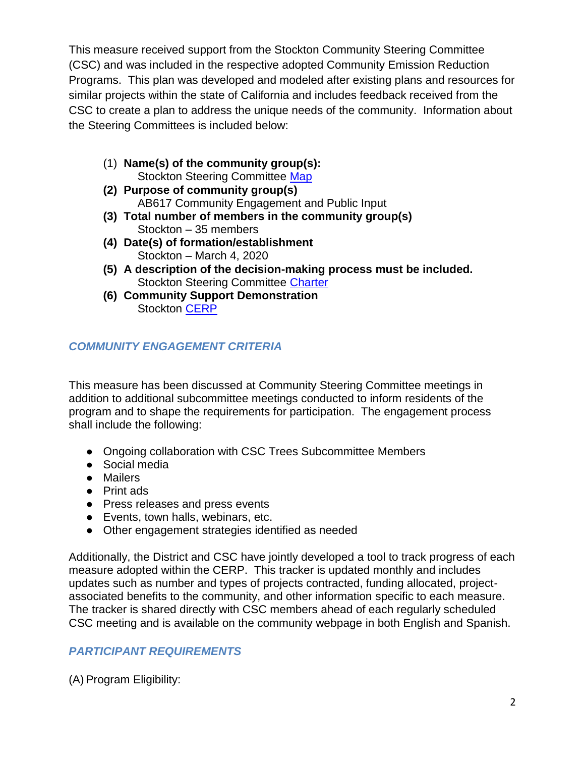This measure received support from the Stockton Community Steering Committee (CSC) and was included in the respective adopted Community Emission Reduction Programs. This plan was developed and modeled after existing plans and resources for similar projects within the state of California and includes feedback received from the CSC to create a plan to address the unique needs of the community. Information about the Steering Committees is included below:

- (1) **Name(s) of the community group(s):** Stockton Steering Committee [Map](https://sjvapcd.maps.arcgis.com/apps/webappviewer/index.html?id=0fce98b09bc04404bb0e9a48fdbf683b)
- **(2) Purpose of community group(s)** AB617 Community Engagement and Public Input
- **(3) Total number of members in the community group(s)** Stockton – 35 members
- **(4) Date(s) of formation/establishment** Stockton – March 4, 2020
- **(5) A description of the decision-making process must be included.**  Stockton Steering Committee [Charter](https://community.valleyair.org/media/1631/03102020_stockton-charter_final_en.pdf)
- **(6) Community Support Demonstration** Stockton [CERP](https://community.valleyair.org/media/2487/final-stockton-cerp-no-appendix-with-cover.pdf)

## *COMMUNITY ENGAGEMENT CRITERIA*

This measure has been discussed at Community Steering Committee meetings in addition to additional subcommittee meetings conducted to inform residents of the program and to shape the requirements for participation. The engagement process shall include the following:

- Ongoing collaboration with CSC Trees Subcommittee Members
- Social media
- Mailers
- Print ads
- Press releases and press events
- Events, town halls, webinars, etc.
- Other engagement strategies identified as needed

Additionally, the District and CSC have jointly developed a tool to track progress of each measure adopted within the CERP. This tracker is updated monthly and includes updates such as number and types of projects contracted, funding allocated, projectassociated benefits to the community, and other information specific to each measure. The tracker is shared directly with CSC members ahead of each regularly scheduled CSC meeting and is available on the community webpage in both English and Spanish.

### *PARTICIPANT REQUIREMENTS*

(A) Program Eligibility: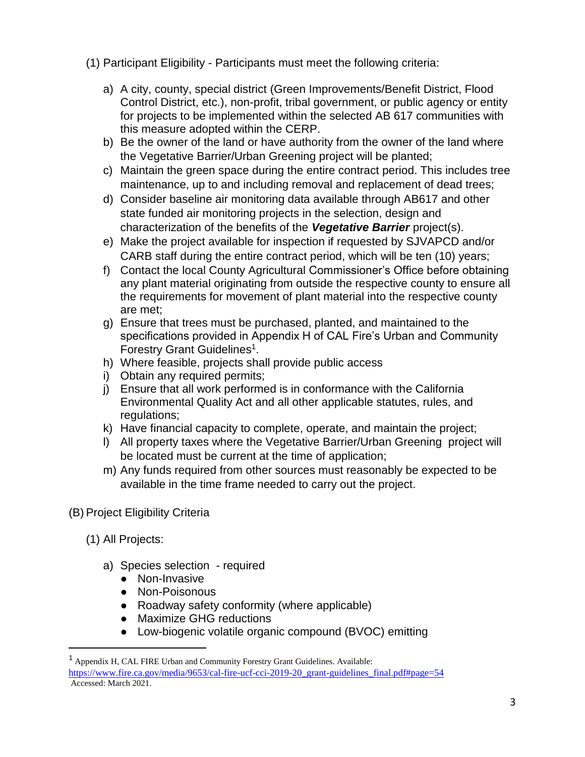(1) Participant Eligibility - Participants must meet the following criteria:

- a) A city, county, special district (Green Improvements/Benefit District, Flood Control District, etc.), non-profit, tribal government, or public agency or entity for projects to be implemented within the selected AB 617 communities with this measure adopted within the CERP.
- b) Be the owner of the land or have authority from the owner of the land where the Vegetative Barrier/Urban Greening project will be planted;
- c) Maintain the green space during the entire contract period. This includes tree maintenance, up to and including removal and replacement of dead trees;
- d) Consider baseline air monitoring data available through AB617 and other state funded air monitoring projects in the selection, design and characterization of the benefits of the *Vegetative Barrier* project(s).
- e) Make the project available for inspection if requested by SJVAPCD and/or CARB staff during the entire contract period, which will be ten (10) years;
- f) Contact the local County Agricultural Commissioner's Office before obtaining any plant material originating from outside the respective county to ensure all the requirements for movement of plant material into the respective county are met;
- g) Ensure that trees must be purchased, planted, and maintained to the specifications provided in Appendix H of CAL Fire's Urban and Community Forestry Grant Guidelines<sup>1</sup>.
- h) Where feasible, projects shall provide public access
- i) Obtain any required permits;
- j) Ensure that all work performed is in conformance with the California Environmental Quality Act and all other applicable statutes, rules, and regulations;
- k) Have financial capacity to complete, operate, and maintain the project;
- l) All property taxes where the Vegetative Barrier/Urban Greening project will be located must be current at the time of application;
- m) Any funds required from other sources must reasonably be expected to be available in the time frame needed to carry out the project.
- (B) Project Eligibility Criteria
	- (1) All Projects:

 $\overline{a}$ 

- a) Species selection required
	- Non-Invasive
	- Non-Poisonous
	- Roadway safety conformity (where applicable)
	- Maximize GHG reductions
	- Low-biogenic volatile organic compound (BVOC) emitting

<sup>1</sup> Appendix H, CAL FIRE Urban and Community Forestry Grant Guidelines. Available: [https://www.fire.ca.gov/media/9653/cal-fire-ucf-cci-2019-20\\_grant-guidelines\\_final.pdf#page=54](https://www.fire.ca.gov/media/9653/cal-fire-ucf-cci-2019-20_grant-guidelines_final.pdf#page=54) Accessed: March 2021.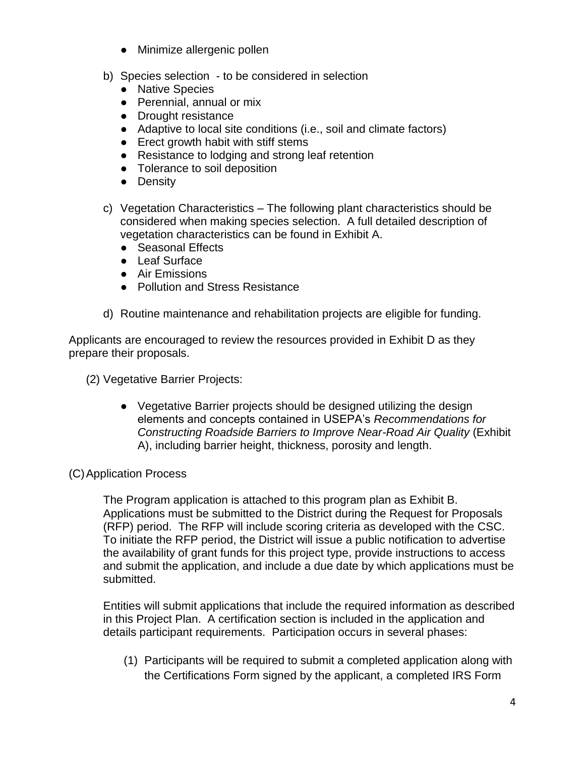- Minimize allergenic pollen
- b) Species selection to be considered in selection
	- Native Species
	- Perennial, annual or mix
	- Drought resistance
	- Adaptive to local site conditions (i.e., soil and climate factors)
	- Erect growth habit with stiff stems
	- Resistance to lodging and strong leaf retention
	- Tolerance to soil deposition
	- Density
- c) Vegetation Characteristics The following plant characteristics should be considered when making species selection. A full detailed description of vegetation characteristics can be found in Exhibit A.
	- Seasonal Effects
	- Leaf Surface
	- Air Emissions
	- Pollution and Stress Resistance
- d) Routine maintenance and rehabilitation projects are eligible for funding.

Applicants are encouraged to review the resources provided in Exhibit D as they prepare their proposals.

(2) Vegetative Barrier Projects:

● Vegetative Barrier projects should be designed utilizing the design elements and concepts contained in USEPA's *Recommendations for Constructing Roadside Barriers to Improve Near-Road Air Quality* (Exhibit A), including barrier height, thickness, porosity and length.

#### (C)Application Process

The Program application is attached to this program plan as Exhibit B. Applications must be submitted to the District during the Request for Proposals (RFP) period. The RFP will include scoring criteria as developed with the CSC. To initiate the RFP period, the District will issue a public notification to advertise the availability of grant funds for this project type, provide instructions to access and submit the application, and include a due date by which applications must be submitted.

Entities will submit applications that include the required information as described in this Project Plan. A certification section is included in the application and details participant requirements. Participation occurs in several phases:

(1) Participants will be required to submit a completed application along with the Certifications Form signed by the applicant, a completed IRS Form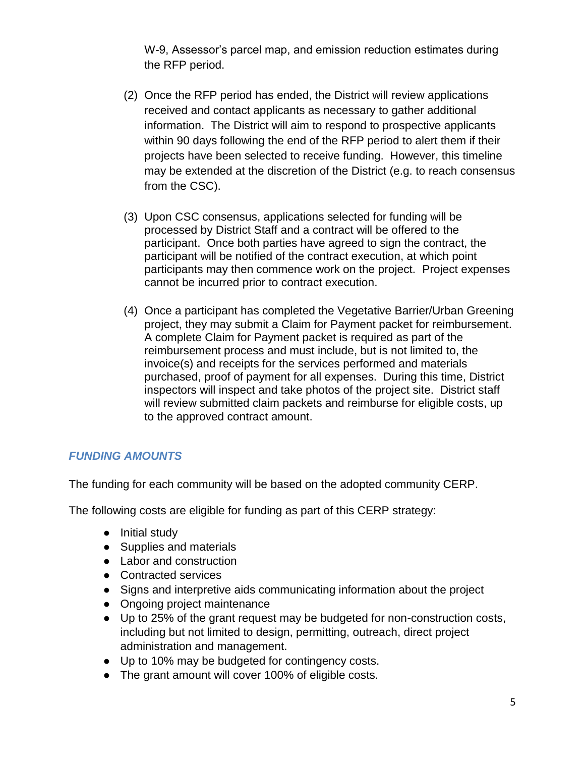W-9, Assessor's parcel map, and emission reduction estimates during the RFP period.

- (2) Once the RFP period has ended, the District will review applications received and contact applicants as necessary to gather additional information. The District will aim to respond to prospective applicants within 90 days following the end of the RFP period to alert them if their projects have been selected to receive funding. However, this timeline may be extended at the discretion of the District (e.g. to reach consensus from the CSC).
- (3) Upon CSC consensus, applications selected for funding will be processed by District Staff and a contract will be offered to the participant. Once both parties have agreed to sign the contract, the participant will be notified of the contract execution, at which point participants may then commence work on the project. Project expenses cannot be incurred prior to contract execution.
- (4) Once a participant has completed the Vegetative Barrier/Urban Greening project, they may submit a Claim for Payment packet for reimbursement. A complete Claim for Payment packet is required as part of the reimbursement process and must include, but is not limited to, the invoice(s) and receipts for the services performed and materials purchased, proof of payment for all expenses. During this time, District inspectors will inspect and take photos of the project site. District staff will review submitted claim packets and reimburse for eligible costs, up to the approved contract amount.

### *FUNDING AMOUNTS*

The funding for each community will be based on the adopted community CERP.

The following costs are eligible for funding as part of this CERP strategy:

- Initial study
- Supplies and materials
- Labor and construction
- Contracted services
- Signs and interpretive aids communicating information about the project
- Ongoing project maintenance
- Up to 25% of the grant request may be budgeted for non-construction costs, including but not limited to design, permitting, outreach, direct project administration and management.
- Up to 10% may be budgeted for contingency costs.
- The grant amount will cover 100% of eligible costs.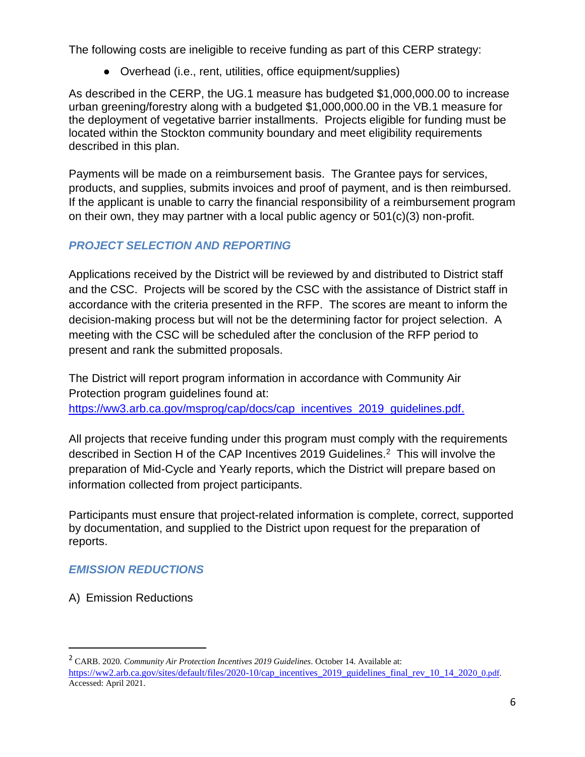The following costs are ineligible to receive funding as part of this CERP strategy:

• Overhead (i.e., rent, utilities, office equipment/supplies)

As described in the CERP, the UG.1 measure has budgeted \$1,000,000.00 to increase urban greening/forestry along with a budgeted \$1,000,000.00 in the VB.1 measure for the deployment of vegetative barrier installments. Projects eligible for funding must be located within the Stockton community boundary and meet eligibility requirements described in this plan.

Payments will be made on a reimbursement basis. The Grantee pays for services, products, and supplies, submits invoices and proof of payment, and is then reimbursed. If the applicant is unable to carry the financial responsibility of a reimbursement program on their own, they may partner with a local public agency or 501(c)(3) non-profit.

#### *PROJECT SELECTION AND REPORTING*

Applications received by the District will be reviewed by and distributed to District staff and the CSC. Projects will be scored by the CSC with the assistance of District staff in accordance with the criteria presented in the RFP. The scores are meant to inform the decision-making process but will not be the determining factor for project selection. A meeting with the CSC will be scheduled after the conclusion of the RFP period to present and rank the submitted proposals.

The District will report program information in accordance with Community Air Protection program guidelines found at: [https://ww3.arb.ca.gov/msprog/cap/docs/cap\\_incentives\\_2019\\_guidelines.pdf.](https://ww3.arb.ca.gov/msprog/cap/docs/cap_incentives_2019_guidelines.pdf)

All projects that receive funding under this program must comply with the requirements described in Section H of the CAP Incentives 2019 Guidelines.<sup>2</sup> This will involve the preparation of Mid-Cycle and Yearly reports, which the District will prepare based on information collected from project participants.

Participants must ensure that project-related information is complete, correct, supported by documentation, and supplied to the District upon request for the preparation of reports.

#### *EMISSION REDUCTIONS*

A) Emission Reductions

 $\overline{a}$ 

<sup>2</sup> CARB. 2020. *Community Air Protection Incentives 2019 Guidelines*. October 14. Available at: [https://ww2.arb.ca.gov/sites/default/files/2020-10/cap\\_incentives\\_2019\\_guidelines\\_final\\_rev\\_10\\_14\\_202](https://ww2.arb.ca.gov/sites/default/files/2020-10/cap_incentives_2019_guidelines_final_rev_10_14_2020_0.pdf)[0\\_0.pdf.](https://ww2.arb.ca.gov/sites/default/files/2020-10/cap_incentives_2019_guidelines_final_rev_10_14_2020_0.pdf) Accessed: April 2021.